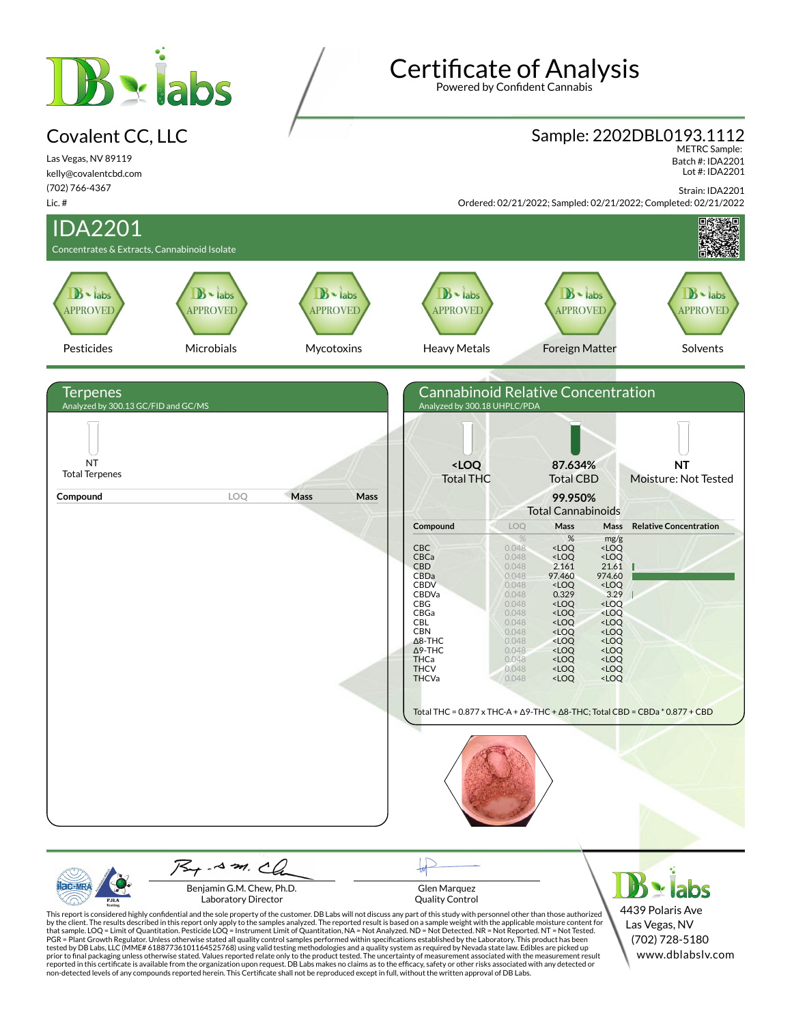# **B** siabs

#### Covalent CC, LLC

Las Vegas, NV 89119 kelly@covalentcbd.com (702) 766-4367

# Certificate of Analysis

Powered by Confident Cannabis

# Sample: 2202DBL0193.1112 METRC Sample:

 Batch #: IDA2201 Lot #: IDA2201

Strain: IDA2201



| <b>ilac MRA</b> | Benjamin G.M. Chew, Ph.D.                                                                                                                               | <b>Glen Marquez</b>                                                                                                                                                              | $\mathbf{B}$ - labs |
|-----------------|---------------------------------------------------------------------------------------------------------------------------------------------------------|----------------------------------------------------------------------------------------------------------------------------------------------------------------------------------|---------------------|
| <b>PJLA</b>     | Laboratory Director                                                                                                                                     | <b>Ouality Control</b>                                                                                                                                                           |                     |
|                 |                                                                                                                                                         | This report is considered highly confidential and the sole property of the customer. DB Labs will not discuss any part of this study with personnel other than those authorized  | 4439 Polaris Ave    |
|                 |                                                                                                                                                         | by the client. The results described in this report only apply to the samples analyzed. The reported result is based on a sample weight with the applicable moisture content for | Las Vegas, NV       |
|                 |                                                                                                                                                         | that sample. LOQ = Limit of Quantitation. Pesticide LOQ = Instrument Limit of Quantitation, NA = Not Analyzed. ND = Not Detected. NR = Not Reported. NT = Not Tested.            |                     |
|                 |                                                                                                                                                         | PGR = Plant Growth Regulator. Unless otherwise stated all quality control samples performed within specifications established by the Laboratory. This product has been           | (702) 728-5180      |
|                 |                                                                                                                                                         | tested by DB Labs, LLC (MME# 61887736101164525768) using valid testing methodologies and a quality system as required by Nevada state law. Edibles are picked up                 |                     |
|                 |                                                                                                                                                         | prior to final packaging unless otherwise stated. Values reported relate only to the product tested. The uncertainty of measurement associated with the measurement result       | www.dblabsly.com    |
|                 |                                                                                                                                                         | reported in this certificate is available from the organization upon request. DB Labs makes no claims as to the efficacy, safety or other risks associated with any detected or  |                     |
|                 | non-detected levels of any compounds reported herein. This Certificate shall not be reproduced except in full, without the written approval of DB Labs. |                                                                                                                                                                                  |                     |